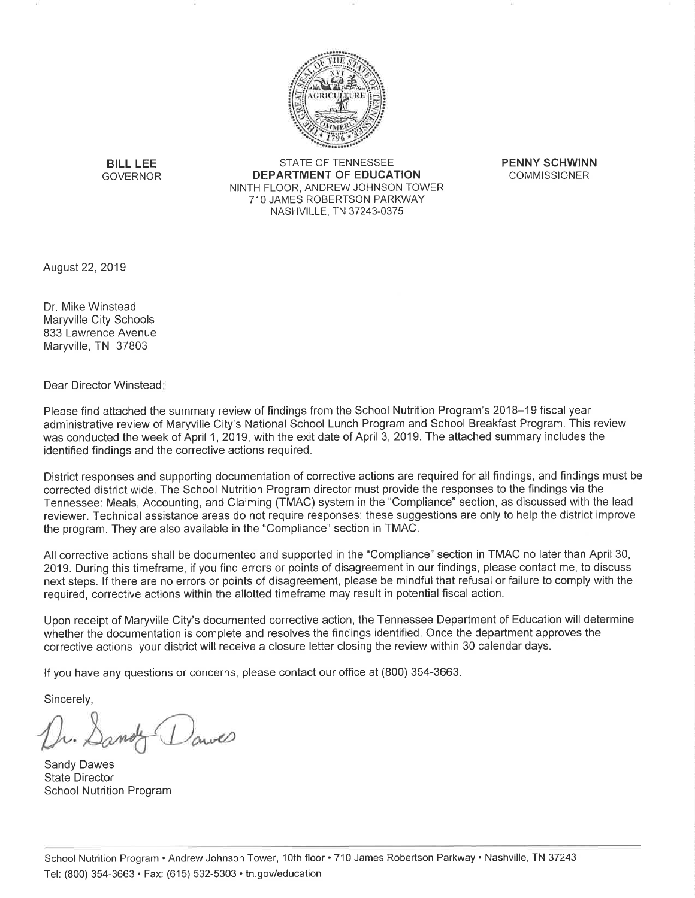

**BILL LEE GOVERNOR** 

STATE OF TENNESSEE **DEPARTMENT OF EDUCATION** NINTH FLOOR, ANDREW JOHNSON TOWER 710 JAMES ROBERTSON PARKWAY NASHVILLE, TN 37243-0375

**PENNY SCHWINN COMMISSIONER** 

August 22, 2019

Dr. Mike Winstead Maryville City Schools 833 Lawrence Avenue Maryville, TN 37803

Dear Director Winstead:

Please find attached the summary review of findings from the School Nutrition Program's 2018–19 fiscal year administrative review of Maryville City's National School Lunch Program and School Breakfast Program. This review was conducted the week of April 1, 2019, with the exit date of April 3, 2019. The attached summary includes the identified findings and the corrective actions required.

District responses and supporting documentation of corrective actions are required for all findings, and findings must be corrected district wide. The School Nutrition Program director must provide the responses to the findings via the Tennessee: Meals, Accounting, and Claiming (TMAC) system in the "Compliance" section, as discussed with the lead reviewer. Technical assistance areas do not require responses; these suggestions are only to help the district improve the program. They are also available in the "Compliance" section in TMAC.

All corrective actions shall be documented and supported in the "Compliance" section in TMAC no later than April 30, 2019. During this timeframe, if you find errors or points of disagreement in our findings, please contact me, to discuss next steps. If there are no errors or points of disagreement, please be mindful that refusal or failure to comply with the required, corrective actions within the allotted timeframe may result in potential fiscal action.

Upon receipt of Maryville City's documented corrective action, the Tennessee Department of Education will determine whether the documentation is complete and resolves the findings identified. Once the department approves the corrective actions, your district will receive a closure letter closing the review within 30 calendar days.

If you have any questions or concerns, please contact our office at (800) 354-3663.

Sincerely,

Sandy Dawes **State Director School Nutrition Program**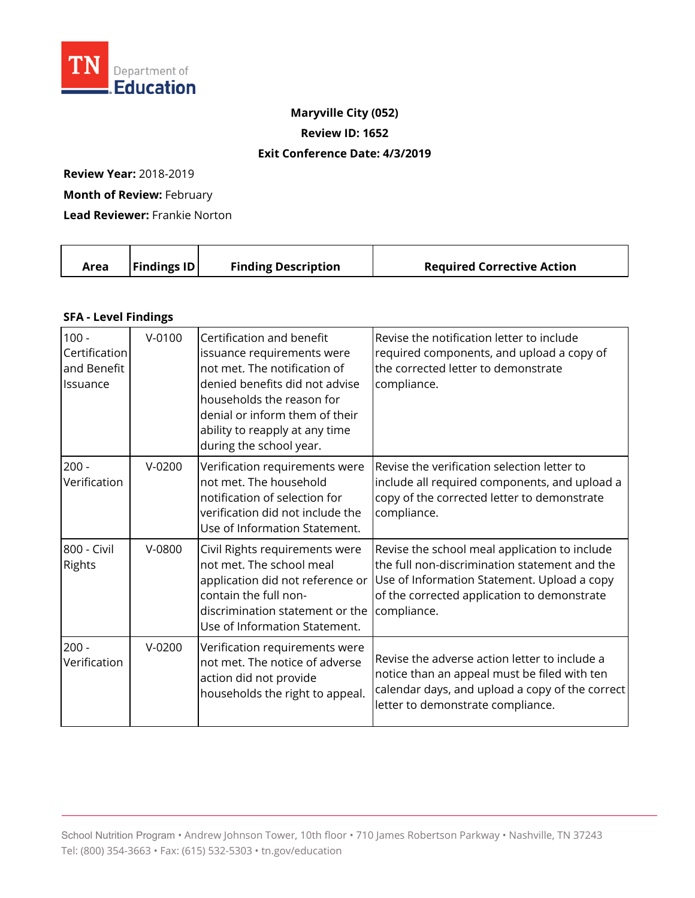

## **Maryville City (052)**

**Review ID: 1652** 

## **Exit Conference Date: 4/3/2019**

**Review Year:** 2018-2019

**Month of Review:** February

**Lead Reviewer:** Frankie Norton

| Area | $\vert$ Findings ID $\vert$ | <b>Finding Description</b> | <b>Required Corrective Action</b> |
|------|-----------------------------|----------------------------|-----------------------------------|
|      |                             |                            |                                   |

## **SFA - Level Findings**

| $100 -$<br>Certification<br>and Benefit<br>Issuance | $V - 0100$ | Certification and benefit<br>issuance requirements were<br>not met. The notification of<br>denied benefits did not advise<br>households the reason for<br>denial or inform them of their<br>ability to reapply at any time<br>during the school year. | Revise the notification letter to include<br>required components, and upload a copy of<br>the corrected letter to demonstrate<br>compliance.                                                                |
|-----------------------------------------------------|------------|-------------------------------------------------------------------------------------------------------------------------------------------------------------------------------------------------------------------------------------------------------|-------------------------------------------------------------------------------------------------------------------------------------------------------------------------------------------------------------|
| $200 -$<br>Verification                             | $V-0200$   | Verification requirements were<br>not met. The household<br>notification of selection for<br>verification did not include the<br>Use of Information Statement.                                                                                        | Revise the verification selection letter to<br>include all required components, and upload a<br>copy of the corrected letter to demonstrate<br>compliance.                                                  |
| 800 - Civil<br><b>Rights</b>                        | $V-0800$   | Civil Rights requirements were<br>not met. The school meal<br>application did not reference or<br>contain the full non-<br>discrimination statement or the<br>Use of Information Statement.                                                           | Revise the school meal application to include<br>the full non-discrimination statement and the<br>Use of Information Statement. Upload a copy<br>of the corrected application to demonstrate<br>compliance. |
| $200 -$<br>Verification                             | $V-0200$   | Verification requirements were<br>not met. The notice of adverse<br>action did not provide<br>households the right to appeal.                                                                                                                         | Revise the adverse action letter to include a<br>notice than an appeal must be filed with ten<br>calendar days, and upload a copy of the correct<br>letter to demonstrate compliance.                       |